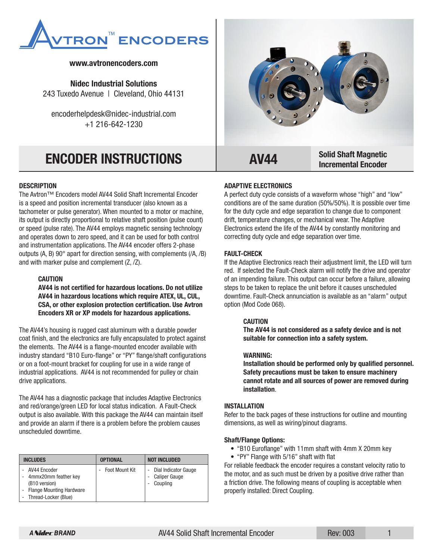

# **www.avtronencoders.com**

**Nidec Industrial Solutions** 243 Tuxedo Avenue | Cleveland, Ohio 44131

encoderhelpdesk@nidec-industrial.com +1 216-642-1230

## **DESCRIPTION**

The Avtron™ Encoders model AV44 Solid Shaft Incremental Encoder is a speed and position incremental transducer (also known as a tachometer or pulse generator). When mounted to a motor or machine, its output is directly proportional to relative shaft position (pulse count) or speed (pulse rate). The AV44 employs magnetic sensing technology and operates down to zero speed, and it can be used for both control and instrumentation applications. The AV44 encoder offers 2-phase outputs (A, B) 90° apart for direction sensing, with complements (/A, /B) and with marker pulse and complement (Z, /Z).

#### **CAUTION**

**AV44 is not certified for hazardous locations. Do not utilize AV44 in hazardous locations which require ATEX, UL, CUL, CSA, or other explosion protection certification. Use Avtron Encoders XR or XP models for hazardous applications.**

The AV44's housing is rugged cast aluminum with a durable powder coat finish, and the electronics are fully encapsulated to protect against the elements. The AV44 is a flange-mounted encoder available with industry standard "B10 Euro-flange" or "PY" flange/shaft configurations or on a foot-mount bracket for coupling for use in a wide range of industrial applications. AV44 is not recommended for pulley or chain drive applications.

The AV44 has a diagnostic package that includes Adaptive Electronics and red/orange/green LED for local status indication. A Fault-Check output is also available. With this package the AV44 can maintain itself and provide an alarm if there is a problem before the problem causes unscheduled downtime.

| <b>INCLUDES</b>                                                                                             | <b>OPTIONAL</b>       | <b>NOT INCLUDED</b>                                           |
|-------------------------------------------------------------------------------------------------------------|-----------------------|---------------------------------------------------------------|
| AV44 Encoder<br>4mmx20mm feather key<br>(B10 version)<br>- Flange Mounting Hardware<br>Thread-Locker (Blue) | <b>Foot Mount Kit</b> | Dial Indicator Gauge<br><b>Caliper Gauge</b><br>٠<br>Coupling |



### **ADAPTIVE ELECTRONICS**

A perfect duty cycle consists of a waveform whose "high" and "low" conditions are of the same duration (50%/50%). It is possible over time for the duty cycle and edge separation to change due to component drift, temperature changes, or mechanical wear. The Adaptive Electronics extend the life of the AV44 by constantly monitoring and correcting duty cycle and edge separation over time.

#### **FAULT-CHECK**

If the Adaptive Electronics reach their adjustment limit, the LED will turn red. If selected the Fault-Check alarm will notify the drive and operator of an impending failure. This output can occur before a failure, allowing steps to be taken to replace the unit before it causes unscheduled downtime. Fault-Check annunciation is available as an "alarm" output option (Mod Code 068).

#### **CAUTION**

**The AV44 is not considered as a safety device and is not suitable for connection into a safety system.**

#### **WARNING:**

**Installation should be performed only by qualified personnel. Safety precautions must be taken to ensure machinery cannot rotate and all sources of power are removed during installation**.

#### **INSTALLATION**

Refer to the back pages of these instructions for outline and mounting dimensions, as well as wiring/pinout diagrams.

#### **Shaft/Flange Options:**

- "B10 Euroflange" with 11mm shaft with 4mm X 20mm key
- "PY" Flange with 5/16" shaft with flat

For reliable feedback the encoder requires a constant velocity ratio to the motor, and as such must be driven by a positive drive rather than a friction drive. The following means of coupling is acceptable when properly installed: Direct Coupling.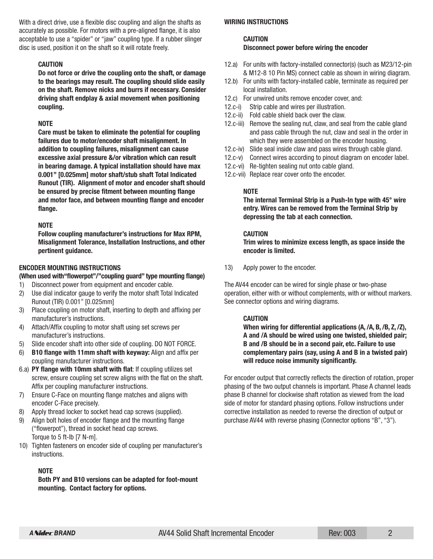With a direct drive, use a flexible disc coupling and align the shafts as accurately as possible. For motors with a pre-aligned flange, it is also acceptable to use a "spider" or "jaw" coupling type. If a rubber slinger disc is used, position it on the shaft so it will rotate freely.

#### **CAUTION**

**Do not force or drive the coupling onto the shaft, or damage to the bearings may result. The coupling should slide easily on the shaft. Remove nicks and burrs if necessary. Consider driving shaft endplay & axial movement when positioning coupling.**

## **NOTE**

**Care must be taken to eliminate the potential for coupling failures due to motor/encoder shaft misalignment. In addition to coupling failures, misalignment can cause excessive axial pressure &/or vibration which can result in bearing damage. A typical installation should have max 0.001" [0.025mm] motor shaft/stub shaft Total Indicated Runout (TIR). Alignment of motor and encoder shaft should be ensured by precise fitment between mounting flange and motor face, and between mounting flange and encoder flange.**

## **NOTE**

**Follow coupling manufacturer's instructions for Max RPM, Misalignment Tolerance, Installation Instructions, and other pertinent guidance.**

## **ENCODER MOUNTING INSTRUCTIONS**

#### **(When used with"flowerpot"/"coupling guard" type mounting flange)**

- 1) Disconnect power from equipment and encoder cable.
- 2) Use dial indicator gauge to verify the motor shaft Total Indicated Runout (TIR) 0.001" [0.025mm]
- 3) Place coupling on motor shaft, inserting to depth and affixing per manufacturer's instructions.
- 4) Attach/Affix coupling to motor shaft using set screws per manufacturer's instructions.
- 5) Slide encoder shaft into other side of coupling. DO NOT FORCE.
- 6) **B10 flange with 11mm shaft with keyway:** Align and affix per coupling manufacturer instructions.
- 6.a) **PY flange with 10mm shaft with flat**: If coupling utilizes set screw, ensure coupling set screw aligns with the flat on the shaft. Affix per coupling manufacturer instructions.
- 7) Ensure C-Face on mounting flange matches and aligns with encoder C-Face precisely.
- 8) Apply thread locker to socket head cap screws (supplied).
- 9) Align bolt holes of encoder flange and the mounting flange ("flowerpot"), thread in socket head cap screws. Torque to 5 ft-lb [7 N-m].
- 10) Tighten fasteners on encoder side of coupling per manufacturer's instructions.

# **NOTE**

**Both PY and B10 versions can be adapted for foot-mount mounting. Contact factory for options.**

#### **WIRING INSTRUCTIONS**

# **CAUTION Disconnect power before wiring the encoder**

- 12.a) For units with factory-installed connector(s) (such as M23/12-pin & M12-8 10 Pin MS) connect cable as shown in wiring diagram.
- 12.b) For units with factory-installed cable, terminate as required per local installation.
- 12.c) For unwired units remove encoder cover, and:
- 12.c-i) Strip cable and wires per illustration.
- 12.c-ii) Fold cable shield back over the claw.
- 12.c-iii) Remove the sealing nut, claw, and seal from the cable gland and pass cable through the nut, claw and seal in the order in which they were assembled on the encoder housing.
- 12.c-iv) Slide seal inside claw and pass wires through cable gland.
- 12.c-v) Connect wires according to pinout diagram on encoder label.
- 12.c-vi) Re-tighten sealing nut onto cable gland.
- 12.c-vii) Replace rear cover onto the encoder.

## **NOTE**

**The internal Terminal Strip is a Push-In type with 45° wire entry. Wires can be removed from the Terminal Strip by depressing the tab at each connection.**

## **CAUTION**

**Trim wires to minimize excess length, as space inside the encoder is limited.**

13) Apply power to the encoder.

The AV44 encoder can be wired for single phase or two-phase operation, either with or without complements, with or without markers. See connector options and wiring diagrams.

# **CAUTION**

**When wiring for differential applications (A, /A, B, /B, Z, /Z), A and /A should be wired using one twisted, shielded pair; B and /B should be in a second pair, etc. Failure to use complementary pairs (say, using A and B in a twisted pair) will reduce noise immunity significantly.**

For encoder output that correctly reflects the direction of rotation, proper phasing of the two output channels is important. Phase A channel leads phase B channel for clockwise shaft rotation as viewed from the load side of motor for standard phasing options. Follow instructions under corrective installation as needed to reverse the direction of output or purchase AV44 with reverse phasing (Connector options "B", "3").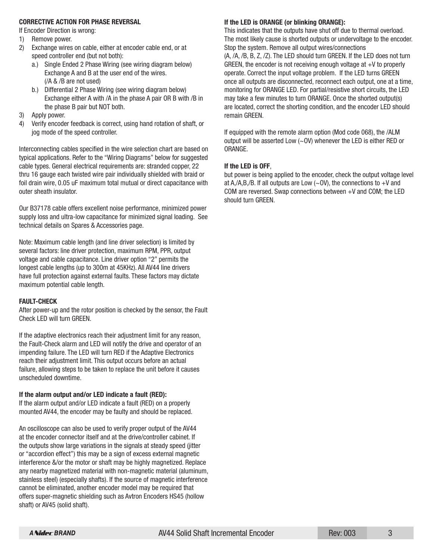### **CORRECTIVE ACTION FOR PHASE REVERSAL**

If Encoder Direction is wrong:

- 1) Remove power.
- 2) Exchange wires on cable, either at encoder cable end, or at speed controller end (but not both):
	- a.) Single Ended 2 Phase Wiring (see wiring diagram below) Exchange A and B at the user end of the wires. (/A & /B are not used)
	- b.) Differential 2 Phase Wiring (see wiring diagram below) Exchange either A with /A in the phase A pair OR B with /B in the phase B pair but NOT both.
- 3) Apply power.
- 4) Verify encoder feedback is correct, using hand rotation of shaft, or jog mode of the speed controller.

Interconnecting cables specified in the wire selection chart are based on typical applications. Refer to the "Wiring Diagrams" below for suggested cable types. General electrical requirements are: stranded copper, 22 thru 16 gauge each twisted wire pair individually shielded with braid or foil drain wire, 0.05 uF maximum total mutual or direct capacitance with outer sheath insulator.

Our B37178 cable offers excellent noise performance, minimized power supply loss and ultra-low capacitance for minimized signal loading. See technical details on Spares & Accessories page.

Note: Maximum cable length (and line driver selection) is limited by several factors: line driver protection, maximum RPM, PPR, output voltage and cable capacitance. Line driver option "2" permits the longest cable lengths (up to 300m at 45KHz). All AV44 line drivers have full protection against external faults. These factors may dictate maximum potential cable length.

#### **FAULT-CHECK**

After power-up and the rotor position is checked by the sensor, the Fault Check LED will turn GREEN.

If the adaptive electronics reach their adjustment limit for any reason, the Fault-Check alarm and LED will notify the drive and operator of an impending failure. The LED will turn RED if the Adaptive Electronics reach their adjustment limit. This output occurs before an actual failure, allowing steps to be taken to replace the unit before it causes unscheduled downtime.

#### **If the alarm output and/or LED indicate a fault (RED):**

If the alarm output and/or LED indicate a fault (RED) on a properly mounted AV44, the encoder may be faulty and should be replaced.

An oscilloscope can also be used to verify proper output of the AV44 at the encoder connector itself and at the drive/controller cabinet. If the outputs show large variations in the signals at steady speed (jitter or "accordion effect") this may be a sign of excess external magnetic interference &/or the motor or shaft may be highly magnetized. Replace any nearby magnetized material with non-magnetic material (aluminum, stainless steel) (especially shafts). If the source of magnetic interference cannot be eliminated, another encoder model may be required that offers super-magnetic shielding such as Avtron Encoders HS45 (hollow shaft) or AV45 (solid shaft).

#### **If the LED is ORANGE (or blinking ORANGE):**

This indicates that the outputs have shut off due to thermal overload. The most likely cause is shorted outputs or undervoltage to the encoder. Stop the system. Remove all output wires/connections

(A, /A, /B, B, Z, /Z). The LED should turn GREEN. If the LED does not turn GREEN, the encoder is not receiving enough voltage at  $+V$  to properly operate. Correct the input voltage problem. If the LED turns GREEN once all outputs are disconnected, reconnect each output, one at a time, monitoring for ORANGE LED. For partial/resistive short circuits, the LED may take a few minutes to turn ORANGE. Once the shorted output(s) are located, correct the shorting condition, and the encoder LED should remain GREEN.

If equipped with the remote alarm option (Mod code 068), the /ALM output will be asserted Low (~OV) whenever the LED is either RED or ORANGE.

## **If the LED is OFF**,

but power is being applied to the encoder, check the output voltage level at A,/A,B,/B. If all outputs are Low  $({\sim}0V)$ , the connections to  $+V$  and COM are reversed. Swap connections between +V and COM; the LED should turn GREEN.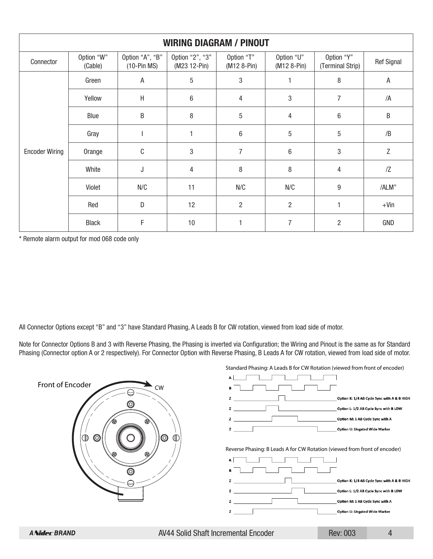| <b>WIRING DIAGRAM / PINOUT</b> |                       |                                  |                                 |                           |                           |                                |                   |
|--------------------------------|-----------------------|----------------------------------|---------------------------------|---------------------------|---------------------------|--------------------------------|-------------------|
| Connector                      | Option "W"<br>(Cable) | Option "A", "B"<br>$(10-Pin MS)$ | Option "2", "3"<br>(M23 12-Pin) | Option "T"<br>(M12 8-Pin) | Option "U"<br>(M12 8-Pin) | Option "Y"<br>(Terminal Strip) | <b>Ref Signal</b> |
|                                | Green                 | A                                | 5                               | 3                         |                           | 8                              | $\mathsf A$       |
|                                | Yellow                | $\sf H$                          | 6                               | 4                         | 3                         | $\overline{7}$                 | /A                |
| <b>Encoder Wiring</b>          | Blue                  | $\sf B$                          | 8                               | 5                         | 4                         | $\,6\,$                        | $\sf B$           |
|                                | Gray                  |                                  | 1                               | $\,6$                     | 5                         | 5                              | /B                |
|                                | Orange                | $\mathsf C$                      | 3                               | $\overline{7}$            | 6                         | 3                              | Z                 |
|                                | White                 | J                                | 4                               | 8                         | 8                         | $\overline{4}$                 | $\sqrt{2}$        |
|                                | Violet                | N/C                              | 11                              | N/C                       | N/C                       | 9                              | /ALM"             |
|                                | Red                   | D                                | 12                              | $\overline{2}$            | $\overline{2}$            | 1                              | $+V$ in           |
|                                | <b>Black</b>          | F                                | 10                              |                           | 7                         | $\overline{2}$                 | GND               |

\* Remote alarm output for mod 068 code only

All Connector Options except "B" and "3" have Standard Phasing, A Leads B for CW rotation, viewed from load side of motor.

Note for Connector Options B and 3 with Reverse Phasing, the Phasing is inverted via Configuration; the Wiring and Pinout is the same as for Standard Phasing (Connector option A or 2 respectively). For Connector Option with Reverse Phasing, B Leads A for CW rotation, viewed from load side of motor.

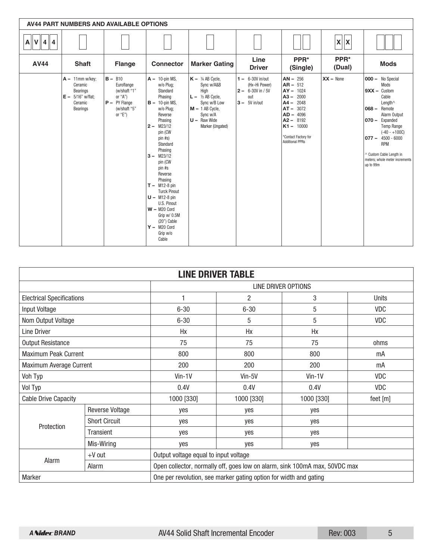| <b>AV44 PART NUMBERS AND AVAILABLE OPTIONS</b> |                                                                                         |                                                                                                          |                                                                                                                                                                                                                                                                                                                                                                                                               |                                                                                                                                                                         |                                                                                          |                                                                                                                                                                                         |                |                                                                                                                                                                                                                                                                                   |
|------------------------------------------------|-----------------------------------------------------------------------------------------|----------------------------------------------------------------------------------------------------------|---------------------------------------------------------------------------------------------------------------------------------------------------------------------------------------------------------------------------------------------------------------------------------------------------------------------------------------------------------------------------------------------------------------|-------------------------------------------------------------------------------------------------------------------------------------------------------------------------|------------------------------------------------------------------------------------------|-----------------------------------------------------------------------------------------------------------------------------------------------------------------------------------------|----------------|-----------------------------------------------------------------------------------------------------------------------------------------------------------------------------------------------------------------------------------------------------------------------------------|
| $A$ $V$ $4$ $4$                                |                                                                                         |                                                                                                          |                                                                                                                                                                                                                                                                                                                                                                                                               |                                                                                                                                                                         |                                                                                          |                                                                                                                                                                                         | x  x           |                                                                                                                                                                                                                                                                                   |
| <b>AV44</b>                                    | <b>Shaft</b>                                                                            | <b>Flange</b>                                                                                            | <b>Connector</b>                                                                                                                                                                                                                                                                                                                                                                                              | <b>Marker Gating</b>                                                                                                                                                    | Line<br><b>Driver</b>                                                                    | PPR*<br>(Single)                                                                                                                                                                        | PPR*<br>(Dual) | <b>Mods</b>                                                                                                                                                                                                                                                                       |
|                                                | $A - 11$ mm w/key;<br>Ceramic<br>Bearings<br>$E - 5/16"$ w/flat;<br>Ceramic<br>Bearings | $B - B10$<br>Euroflange<br>(w/shaft "1"<br>or " $A$ ")<br>$P - PY Flange$<br>(w/shaft "5"<br>or " $E$ ") | $A - 10$ -pin MS,<br>w/o Plug;<br>Standard<br>Phasing<br>$B - 10$ -pin MS,<br>w/o Plug;<br>Reverse<br>Phasing<br>$2 - M23/12$<br>pin (CW<br>$pin$ #s)<br>Standard<br>Phasing<br>$3 - M23/12$<br>pin (CW<br>pin #s<br>Reverse<br>Phasing<br>$T - M12-8$ pin<br><b>Turck Pinout</b><br>$U - M12-8$ pin<br>U.S. Pinout<br>$W - M20$ Cord<br>Grip w/ 0.5M<br>$(20")$ Cable<br>$Y - M20$ Cord<br>Grip w/o<br>Cable | $K - \frac{1}{4}$ AB Cycle,<br>Sync w/A&B<br>High<br>$L - \frac{1}{2}$ AB Cycle,<br>Sync w/B Low<br>$M - 1$ AB Cycle,<br>Sync w/A<br>$U -$ Raw Wide<br>Marker (Ungated) | $1 - 6 - 30V$ in/out<br>(Hx-Hi Power)<br>$2 - 6 - 30V$ in / 5V<br>out<br>$3 - 5V$ in/out | $AN - 256$<br>$AR - 512$<br>$AY - 1024$<br>$A3 - 2000$<br>2048<br>$A4 -$<br>$AT - 3072$<br>$AD - 4096$<br>$A2 - 8192$<br>$K1 - 10000$<br>*Contact Factory for<br><b>Additional PPRs</b> | $XX - None$    | <b>000 - No Special</b><br>Mods<br>$9XX -$ Custom<br>Cable<br>Length^<br>$068 -$ Remote<br>Alarm Output<br>070 - Expanded<br><b>Temp Range</b><br>$(-40 - +100C)$<br>$077 - 4500 - 6000$<br><b>RPM</b><br>^ Custom Cable Length in<br>meters; whole meter increments<br>up to 99m |

| <b>LINE DRIVER TABLE</b>                                                    |                        |              |                                                                            |              |          |  |  |
|-----------------------------------------------------------------------------|------------------------|--------------|----------------------------------------------------------------------------|--------------|----------|--|--|
|                                                                             |                        |              | LINE DRIVER OPTIONS                                                        |              |          |  |  |
| <b>Electrical Specifications</b>                                            |                        |              | $\overline{2}$                                                             | 3            | Units    |  |  |
| Input Voltage                                                               |                        | $6 - 30$     | $6 - 30$                                                                   | 5            | VDC      |  |  |
| Nom Output Voltage                                                          |                        | $6 - 30$     | 5                                                                          | 5            | VDC      |  |  |
| Line Driver                                                                 |                        | Hx           | Hx                                                                         | Hx           |          |  |  |
| <b>Output Resistance</b>                                                    |                        | 75           | 75                                                                         | 75           | ohms     |  |  |
| Maximum Peak Current                                                        |                        | 800          | 800                                                                        | 800          | mA       |  |  |
| Maximum Average Current                                                     |                        | 200          | 200                                                                        | 200          | mA       |  |  |
| Voh Typ                                                                     |                        | $V$ in-1 $V$ | Vin-5V                                                                     | $V$ in-1 $V$ | VDC      |  |  |
| Vol Typ                                                                     |                        | 0.4V         | 0.4V                                                                       | 0.4V         | VDC      |  |  |
| <b>Cable Drive Capacity</b>                                                 |                        | 1000 [330]   | 1000 [330]                                                                 | 1000 [330]   | feet [m] |  |  |
|                                                                             | <b>Reverse Voltage</b> | yes          | yes                                                                        | yes          |          |  |  |
| Protection                                                                  | <b>Short Circuit</b>   | yes          | ves                                                                        | yes          |          |  |  |
|                                                                             | Transient              | yes          | ves                                                                        | yes          |          |  |  |
|                                                                             | Mis-Wiring             | yes          | yes                                                                        | yes          |          |  |  |
|                                                                             | $+V$ out               |              | Output voltage equal to input voltage                                      |              |          |  |  |
| Alarm                                                                       | Alarm                  |              | Open collector, normally off, goes low on alarm, sink 100mA max, 50VDC max |              |          |  |  |
| Marker<br>One per revolution, see marker gating option for width and gating |                        |              |                                                                            |              |          |  |  |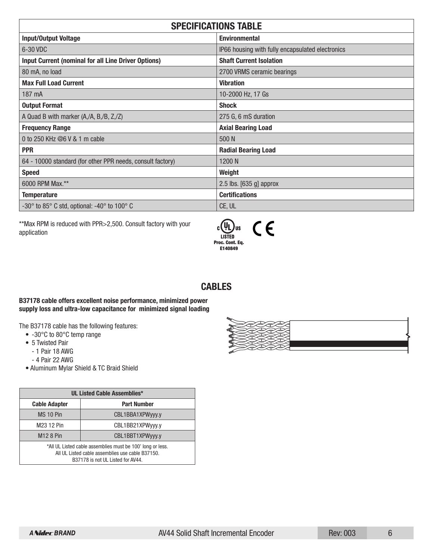| <b>SPECIFICATIONS TABLE</b>                                                         |                                                  |  |  |
|-------------------------------------------------------------------------------------|--------------------------------------------------|--|--|
| <b>Input/Output Voltage</b>                                                         | <b>Environmental</b>                             |  |  |
| 6-30 VDC                                                                            | IP66 housing with fully encapsulated electronics |  |  |
| <b>Input Current (nominal for all Line Driver Options)</b>                          | <b>Shaft Current Isolation</b>                   |  |  |
| 80 mA, no load                                                                      | 2700 VRMS ceramic bearings                       |  |  |
| <b>Max Full Load Current</b>                                                        | <b>Vibration</b>                                 |  |  |
| 187 mA                                                                              | 10-2000 Hz, 17 Gs                                |  |  |
| <b>Output Format</b>                                                                | <b>Shock</b>                                     |  |  |
| A Quad B with marker (A,/A, B,/B, Z,/Z)                                             | 275 G, 6 mS duration                             |  |  |
| <b>Frequency Range</b>                                                              | <b>Axial Bearing Load</b>                        |  |  |
| 0 to 250 KHz @6 V & 1 m cable                                                       | 500 N                                            |  |  |
| <b>PPR</b>                                                                          | <b>Radial Bearing Load</b>                       |  |  |
| 64 - 10000 standard (for other PPR needs, consult factory)                          | 1200N                                            |  |  |
| <b>Speed</b>                                                                        | Weight                                           |  |  |
| 6000 RPM Max.**                                                                     | 2.5 lbs. $[635 \text{ g}]$ approx                |  |  |
| <b>Temperature</b>                                                                  | <b>Certifications</b>                            |  |  |
| -30 $^{\circ}$ to 85 $^{\circ}$ C std, optional: -40 $^{\circ}$ to 100 $^{\circ}$ C | CE, UL                                           |  |  |

\*\*Max RPM is reduced with PPR>2,500. Consult factory with your application



# **CABLES**

# **B37178 cable offers excellent noise performance, minimized power supply loss and ultra-low capacitance for minimized signal loading**

The B37178 cable has the following features:

- -30°C to 80°C temp range
- 5 Twisted Pair
	- 1 Pair 18 AWG
	- 4 Pair 22 AWG
- Aluminum Mylar Shield & TC Braid Shield

| <b>UL Listed Cable Assemblies*</b>                                                                                                                  |                  |  |
|-----------------------------------------------------------------------------------------------------------------------------------------------------|------------------|--|
| <b>Part Number</b><br><b>Cable Adapter</b>                                                                                                          |                  |  |
| MS 10 Pin                                                                                                                                           | CBL1BBA1XPWyyy.y |  |
| M <sub>23</sub> 12 Pin                                                                                                                              | CBL1BB21XPWyyy.y |  |
| <b>M12 8 Pin</b><br>CBL1BBT1XPWyyy.y                                                                                                                |                  |  |
| *All UL Listed cable assemblies must be 100' long or less.<br>All UL Listed cable assemblies use cable B37150.<br>B37178 is not UL Listed for AV44. |                  |  |